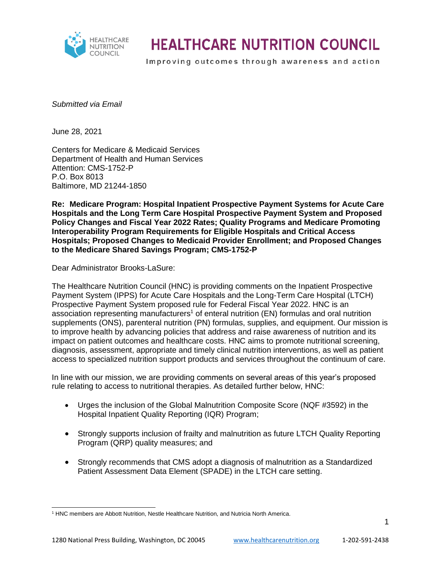

Improving outcomes through awareness and action

*Submitted via Email*

June 28, 2021

Centers for Medicare & Medicaid Services Department of Health and Human Services Attention: CMS-1752-P P.O. Box 8013 Baltimore, MD 21244-1850

**Re: Medicare Program: Hospital Inpatient Prospective Payment Systems for Acute Care Hospitals and the Long Term Care Hospital Prospective Payment System and Proposed Policy Changes and Fiscal Year 2022 Rates; Quality Programs and Medicare Promoting Interoperability Program Requirements for Eligible Hospitals and Critical Access Hospitals; Proposed Changes to Medicaid Provider Enrollment; and Proposed Changes to the Medicare Shared Savings Program; CMS-1752-P**

Dear Administrator Brooks-LaSure:

The Healthcare Nutrition Council (HNC) is providing comments on the Inpatient Prospective Payment System (IPPS) for Acute Care Hospitals and the Long-Term Care Hospital (LTCH) Prospective Payment System proposed rule for Federal Fiscal Year 2022. HNC is an association representing manufacturers<sup>1</sup> of enteral nutrition (EN) formulas and oral nutrition supplements (ONS), parenteral nutrition (PN) formulas, supplies, and equipment. Our mission is to improve health by advancing policies that address and raise awareness of nutrition and its impact on patient outcomes and healthcare costs. HNC aims to promote nutritional screening, diagnosis, assessment, appropriate and timely clinical nutrition interventions, as well as patient access to specialized nutrition support products and services throughout the continuum of care.

In line with our mission, we are providing comments on several areas of this year's proposed rule relating to access to nutritional therapies. As detailed further below, HNC:

- Urges the inclusion of the Global Malnutrition Composite Score (NQF #3592) in the Hospital Inpatient Quality Reporting (IQR) Program;
- Strongly supports inclusion of frailty and malnutrition as future LTCH Quality Reporting Program (QRP) quality measures; and
- Strongly recommends that CMS adopt a diagnosis of malnutrition as a Standardized Patient Assessment Data Element (SPADE) in the LTCH care setting.

<sup>1</sup> HNC members are Abbott Nutrition, Nestle Healthcare Nutrition, and Nutricia North America.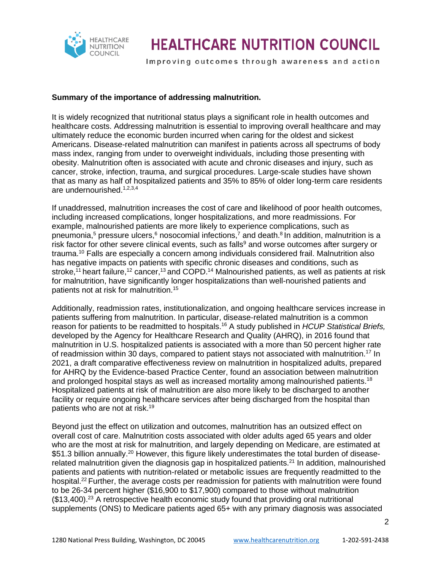

Improving outcomes through awareness and action

#### **Summary of the importance of addressing malnutrition.**

It is widely recognized that nutritional status plays a significant role in health outcomes and healthcare costs. Addressing malnutrition is essential to improving overall healthcare and may ultimately reduce the economic burden incurred when caring for the oldest and sickest Americans. Disease-related malnutrition can manifest in patients across all spectrums of body mass index, ranging from under to overweight individuals, including those presenting with obesity. Malnutrition often is associated with acute and chronic diseases and injury, such as cancer, stroke, infection, trauma, and surgical procedures. Large-scale studies have shown that as many as half of hospitalized patients and 35% to 85% of older long-term care residents are undernourished.1,2,3,4

If unaddressed, malnutrition increases the cost of care and likelihood of poor health outcomes, including increased complications, longer hospitalizations, and more readmissions. For example, malnourished patients are more likely to experience complications, such as pneumonia,<sup>5</sup> pressure ulcers,<sup>6</sup> nosocomial infections,<sup>7</sup> and death.<sup>8</sup> In addition, malnutrition is a risk factor for other severe clinical events, such as falls<sup>9</sup> and worse outcomes after surgery or trauma.<sup>10</sup> Falls are especially a concern among individuals considered frail. Malnutrition also has negative impacts on patients with specific chronic diseases and conditions, such as stroke,<sup>11</sup> heart failure,<sup>12</sup> cancer,<sup>13</sup> and COPD.<sup>14</sup> Malnourished patients, as well as patients at risk for malnutrition, have significantly longer hospitalizations than well-nourished patients and patients not at risk for malnutrition.<sup>15</sup>

Additionally, readmission rates, institutionalization, and ongoing healthcare services increase in patients suffering from malnutrition. In particular, disease-related malnutrition is a common reason for patients to be readmitted to hospitals.<sup>16</sup> A study published in *HCUP Statistical Briefs,*  developed by the Agency for Healthcare Research and Quality (AHRQ), in 2016 found that malnutrition in U.S. hospitalized patients is associated with a more than 50 percent higher rate of readmission within 30 days, compared to patient stays not associated with malnutrition.<sup>17</sup> In 2021, a draft comparative effectiveness review on malnutrition in hospitalized adults, prepared for AHRQ by the Evidence-based Practice Center, found an association between malnutrition and prolonged hospital stays as well as increased mortality among malnourished patients.<sup>18</sup> Hospitalized patients at risk of malnutrition are also more likely to be discharged to another facility or require ongoing healthcare services after being discharged from the hospital than patients who are not at risk. 19

Beyond just the effect on utilization and outcomes, malnutrition has an outsized effect on overall cost of care. Malnutrition costs associated with older adults aged 65 years and older who are the most at risk for malnutrition, and largely depending on Medicare, are estimated at \$51.3 billion annually.<sup>20</sup> However, this figure likely underestimates the total burden of diseaserelated malnutrition given the diagnosis gap in hospitalized patients.<sup>21</sup> In addition, malnourished patients and patients with nutrition-related or metabolic issues are frequently readmitted to the hospital.<sup>22</sup> Further, the average costs per readmission for patients with malnutrition were found to be 26-34 percent higher (\$16,900 to \$17,900) compared to those without malnutrition  $$13,400$ ).<sup>23</sup> A retrospective health economic study found that providing oral nutritional supplements (ONS) to Medicare patients aged 65+ with any primary diagnosis was associated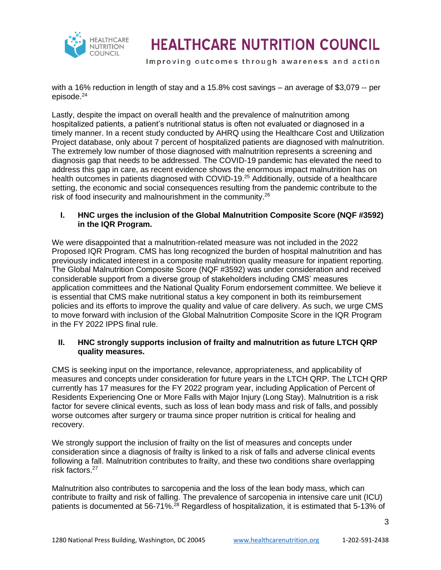

Improving outcomes through awareness and action

with a 16% reduction in length of stay and a 15.8% cost savings – an average of \$3,079 -- per episode.<sup>24</sup>

Lastly, despite the impact on overall health and the prevalence of malnutrition among hospitalized patients, a patient's nutritional status is often not evaluated or diagnosed in a timely manner. In a recent study conducted by AHRQ using the Healthcare Cost and Utilization Project database, only about 7 percent of hospitalized patients are diagnosed with malnutrition. The extremely low number of those diagnosed with malnutrition represents a screening and diagnosis gap that needs to be addressed. The COVID-19 pandemic has elevated the need to address this gap in care, as recent evidence shows the enormous impact malnutrition has on health outcomes in patients diagnosed with COVID-19.<sup>25</sup> Additionally, outside of a healthcare setting, the economic and social consequences resulting from the pandemic contribute to the risk of food insecurity and malnourishment in the community.<sup>26</sup>

#### **I. HNC urges the inclusion of the Global Malnutrition Composite Score (NQF #3592) in the IQR Program.**

We were disappointed that a malnutrition-related measure was not included in the 2022 Proposed IQR Program. CMS has long recognized the burden of hospital malnutrition and has previously indicated interest in a composite malnutrition quality measure for inpatient reporting. The Global Malnutrition Composite Score (NQF #3592) was under consideration and received considerable support from a diverse group of stakeholders including CMS' measures application committees and the National Quality Forum endorsement committee. We believe it is essential that CMS make nutritional status a key component in both its reimbursement policies and its efforts to improve the quality and value of care delivery. As such, we urge CMS to move forward with inclusion of the Global Malnutrition Composite Score in the IQR Program in the FY 2022 IPPS final rule.

#### **II. HNC strongly supports inclusion of frailty and malnutrition as future LTCH QRP quality measures.**

CMS is seeking input on the importance, relevance, appropriateness, and applicability of measures and concepts under consideration for future years in the LTCH QRP. The LTCH QRP currently has 17 measures for the FY 2022 program year, including Application of Percent of Residents Experiencing One or More Falls with Major Injury (Long Stay). Malnutrition is a risk factor for severe clinical events, such as loss of lean body mass and risk of falls, and possibly worse outcomes after surgery or trauma since proper nutrition is critical for healing and recovery.

We strongly support the inclusion of frailty on the list of measures and concepts under consideration since a diagnosis of frailty is linked to a risk of falls and adverse clinical events following a fall. Malnutrition contributes to frailty, and these two conditions share overlapping risk factors.<sup>27</sup>

Malnutrition also contributes to sarcopenia and the loss of the lean body mass, which can contribute to frailty and risk of falling. The prevalence of sarcopenia in intensive care unit (ICU) patients is documented at 56-71%.<sup>28</sup> Regardless of hospitalization, it is estimated that 5-13% of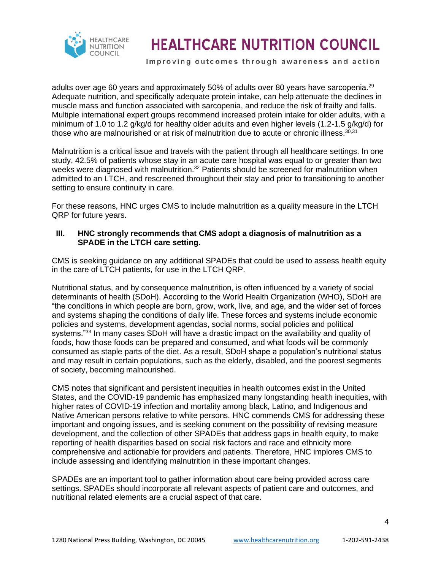

Improving outcomes through awareness and action

adults over age 60 years and approximately 50% of adults over 80 years have sarcopenia.<sup>29</sup> Adequate nutrition, and specifically adequate protein intake, can help attenuate the declines in muscle mass and function associated with sarcopenia, and reduce the risk of frailty and falls. Multiple international expert groups recommend increased protein intake for older adults, with a minimum of 1.0 to 1.2 g/kg/d for healthy older adults and even higher levels (1.2-1.5 g/kg/d) for those who are malnourished or at risk of malnutrition due to acute or chronic illness. $30,31$ 

Malnutrition is a critical issue and travels with the patient through all healthcare settings. In one study, 42.5% of patients whose stay in an acute care hospital was equal to or greater than two weeks were diagnosed with malnutrition.<sup>32</sup> Patients should be screened for malnutrition when admitted to an LTCH, and rescreened throughout their stay and prior to transitioning to another setting to ensure continuity in care.

For these reasons, HNC urges CMS to include malnutrition as a quality measure in the LTCH QRP for future years.

#### **III. HNC strongly recommends that CMS adopt a diagnosis of malnutrition as a SPADE in the LTCH care setting.**

CMS is seeking guidance on any additional SPADEs that could be used to assess health equity in the care of LTCH patients, for use in the LTCH QRP.

Nutritional status, and by consequence malnutrition, is often influenced by a variety of social determinants of health (SDoH). According to the World Health Organization (WHO), SDoH are "the conditions in which people are born, grow, work, live, and age, and the wider set of forces and systems shaping the conditions of daily life. These forces and systems include economic policies and systems, development agendas, social norms, social policies and political systems."<sup>33</sup> In many cases SDoH will have a drastic impact on the availability and quality of foods, how those foods can be prepared and consumed, and what foods will be commonly consumed as staple parts of the diet. As a result, SDoH shape a population's nutritional status and may result in certain populations, such as the elderly, disabled, and the poorest segments of society, becoming malnourished.

CMS notes that significant and persistent inequities in health outcomes exist in the United States, and the COVID-19 pandemic has emphasized many longstanding health inequities, with higher rates of COVID-19 infection and mortality among black, Latino, and Indigenous and Native American persons relative to white persons. HNC commends CMS for addressing these important and ongoing issues, and is seeking comment on the possibility of revising measure development, and the collection of other SPADEs that address gaps in health equity, to make reporting of health disparities based on social risk factors and race and ethnicity more comprehensive and actionable for providers and patients. Therefore, HNC implores CMS to include assessing and identifying malnutrition in these important changes.

SPADEs are an important tool to gather information about care being provided across care settings. SPADEs should incorporate all relevant aspects of patient care and outcomes, and nutritional related elements are a crucial aspect of that care.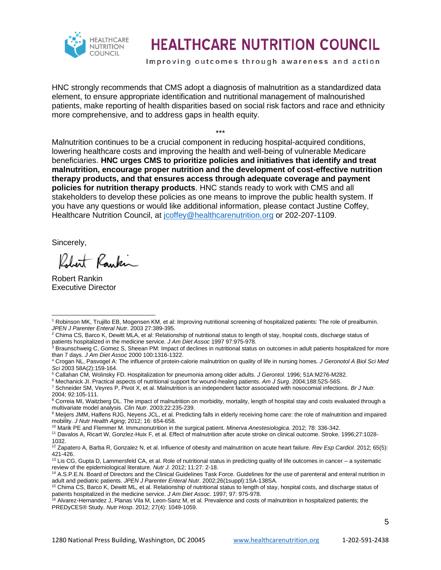

Improving outcomes through awareness and action

HNC strongly recommends that CMS adopt a diagnosis of malnutrition as a standardized data element, to ensure appropriate identification and nutritional management of malnourished patients, make reporting of health disparities based on social risk factors and race and ethnicity more comprehensive, and to address gaps in health equity.

\*\*\* Malnutrition continues to be a crucial component in reducing hospital-acquired conditions, lowering healthcare costs and improving the health and well-being of vulnerable Medicare beneficiaries. **HNC urges CMS to prioritize policies and initiatives that identify and treat malnutrition, encourage proper nutrition and the development of cost-effective nutrition therapy products, and that ensures access through adequate coverage and payment policies for nutrition therapy products**. HNC stands ready to work with CMS and all stakeholders to develop these policies as one means to improve the public health system. If you have any questions or would like additional information, please contact Justine Coffey, Healthcare Nutrition Council, at [jcoffey@healthcarenutrition.org](mailto:jcoffey@healthcarenutrition.org) or 202-207-1109.

Sincerely,

Robert Rankin

Robert Rankin Executive Director

<sup>2</sup> Chima CS, Barco K, Dewitt MLA, et al: Relationship of nutritional status to length of stay, hospital costs, discharge status of patients hospitalized in the medicine service*. J Am Diet Assoc* 1997 97:975-978.

<sup>3</sup> Braunschweig C, Gomez S, Sheean PM: Impact of declines in nutritional status on outcomes in adult patients hospitalized for more than 7 days. *J Am Diet Assoc* 2000 100:1316-1322.

<sup>1</sup> Robinson MK, Trujillo EB, Mogensen KM, et al: Improving nutritional screening of hospitalized patients: The role of prealbumin. *JPEN J Parenter Enteral Nutr*. 2003 27:389-395.

<sup>4</sup> Crogan NL, Pasvogel A: The influence of protein-calorie malnutrition on quality of life in nursing homes*. J Geronotol A Biol Sci Med Sci* 2003 58A(2):159-164.

<sup>5</sup> Callahan CM, Wolinsky FD. Hospitalization for pneumonia among older adults. *J Gerontol*. 1996; 51A:M276-M282.

<sup>6</sup> Mechanick JI. Practical aspects of nutritional support for wound-healing patients. *Am J Surg*. 2004;188:52S-56S.

<sup>7</sup> Schneider SM, Veyres P, Pivot X, et al. Malnutrition is an independent factor associated with nosocomial infections. *Br J Nutr.*  2004; 92:105-111.

<sup>&</sup>lt;sup>8</sup> Correia MI, Waitzberg DL. The impact of malnutrition on morbidity, mortality, length of hospital stay and costs evaluated through a multivariate model analysis. *Clin Nutr*. 2003;22:235-239.

<sup>9</sup> Meijers JMM, Halfens RJG, Neyens JCL, et al. Predicting falls in elderly receiving home care: the role of malnutrition and impaired mobility. *J Nutr Health Aging*; 2012; 16: 654-658.

<sup>10</sup> Marik PE and Flemmer M. Immunonutrition in the surgical patient. *Minerva Anestesiologica*. 2012; 78: 336-342.

<sup>11</sup> Davalos A, Ricart W, Gonzlez-Huix F, et al. Effect of malnutrition after acute stroke on clinical outcome. Stroke. 1996;27:1028-

<sup>1032.</sup>

<sup>12</sup> Zapatero A, Barba R, Gonzalez N, et al. Influence of obesity and malnutrition on acute heart failure. *Rev Esp Cardiol*. 2012; 65(5): 421-426.

<sup>13</sup> Lis CG, Gupta D, Lammersfeld CA, et al. Role of nutritional status in predicting quality of life outcomes in cancer – a systematic review of the epidemiological literature. *Nutr J.* 2012; 11:27: 2-18.

<sup>&</sup>lt;sup>14</sup> A.S.P.E.N. Board of Directors and the Clinical Guidelines Task Force. Guidelines for the use of parenteral and enteral nutrition in adult and pediatric patients. *JPEN J Parenter Enteral Nutr*. 2002;26(1suppl):1SA-138SA.

<sup>&</sup>lt;sup>15</sup> Chima CS, Barco K, Dewitt ML, et al. Relationship of nutritional status to length of stay, hospital costs, and discharge status of patients hospitalized in the medicine service. *J Am Diet Assoc*. 1997; 97: 975-978.

<sup>&</sup>lt;sup>16</sup> Alvarez-Hernandez J, Planas Vila M, Leon-Sanz M, et al. Prevalence and costs of malnutrition in hospitalized patients; the PREDyCES® Study. *Nutr Hosp*. 2012; 27(4): 1049-1059.